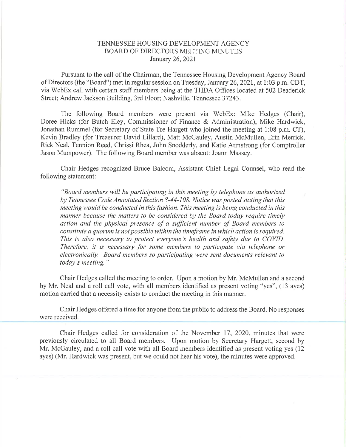## TENNES SEE HOUSING DEVELOPMENT AGENCY BOARD OF DIRECTORS MEETING MINUTES January 26,202I

Pursuant to the call of the Chairman, the Tennessee Housing Development Agency Board of Directors (the "Board") met in regular session on Tuesday, January 26,2021, at 1:03 p.m. CDT, via WebEx call with certain staff members being at the THDA Offrces located at 502 Deaderick Street; Andrew Jackson Building, 3rd Floor; Nashville, Tennessee 37243.

The following Board members were present via WebEx: Mike Hedges (Chair), Doree Hicks (for Butch Eley, Commissioner of Finance & Administration), Mike Hardwick, Jonathan Rummel (for Secretary of State Tre Hargett who joined the meeting at l:08 p.m. CT), Kevin Bradley (for Treasurer David Lillard), Matt McGauley, Austin McMullen, Erin Merrick, Rick Neal, Tennion Reed, Chrissi Rhea, John Snodderly, and Katie Armstrong (for Comptroller Jason Mumpower). The following Board member was absent: Joann Massey.

Chair Hedges recognized Bruce Balcom, Assistant Chief Legal Counsel, who read the following statement:

"Board members will be participating in this meeting by telephone as authorized by Tennessee Code Annotated Section B-44-108. Notice was posted stating that this meeting would be conducted in this fashion. This meeting is being conducted in this manner because the matters to be considered by the Board today require timely action and the physical presence of a sufficient number of Board members to constitute a quorum is not possible within the timeframe inwhich action is required. This is also necessary to protect everyone's health and safety due to COVID. Therefore, it is necessary for some members to participate via telephone or electronically. Board members so participating were sent documents relevant to today's meeting."

Chair Hedges called the meeting to order. Upon a motion by Mr. McMullen and a second by Mr. Neal and a roll call vote, with all members identified as present voting "yes", (13 ayes) motion carried that a necessity exists to conduct the meeting in this manner.

Chair Hedges offered a time for anyone from the public to address the Board. No responses were received.

Chair Hedges called for consideration of the November 17, 2020, minutes that were previously circulated to all Board members. Upon motion by Secretary Hargett, second by Mr. McGauley, and a roll call vote with all Board members identified as present voting yes (12 ayes) (Mr. Hardwick was present, but we could not hear his vote), the minutes were approved.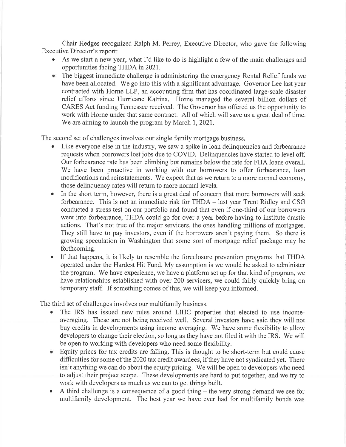Chair Hedges recognized Ralph M. Peney, Executive Director, who gave the following Executive Director's report:

- As we start a new year, what I'd like to do is highlight a few of the main challenges and opportunities facing THDA in202l.
- o The biggest immediate challenge is administering the emergency Rental Relief funds we have been allocated. We go into this with a significant advantage. Governor Lee last year contracted with Horne LLP, an accounting firm that has coordinated large-scale disaster relief efforts since Hurricane Katrina. Horne managed the several billion dollars of CARES Act funding Tennessee received. The Govemor has offered us the opportunity to work with Horne under that same contract. All of which will save us a great deal of time. We are aiming to launch the program by March 1, 2021.

The second set of challenges involves our single family mortgage business.

- o Like everyone else in the industry, we saw a spike in loan delinquencies and forbearance requests when borrowers lost jobs due to COVID. Delinquencies have started to level off. Our forbearance rate has been climbing but remains below the rate for FHA loans overall. We have been proactive in working with our borrowers to offer forbearance, loan modifications and reinstatements. We expect that as we return to a more normal economy, those delinquency rates will return to more normal levels.
- In the short term, however, there is a great deal of concern that more borrowers will seek forbearance. This is not an immediate risk for THDA - last year Trent Ridley and CSG conducted a stress test on our portfolio and found that even if one-third of our borrowers went into forbearance, THDA could go for over a year before having to institute drastic actions. That's not true of the major servicers, the ones handling millions of mortgages. They still have to pay investors, even if the borrowers aren't paying them. So there is growing speculation in Washington that some sort of mortgage relief package may be forthcoming.
- If that happens, it is likely to resemble the foreclosure prevention programs that THDA operated under the Hardest Hit Fund. My assumption is we would be asked to administer the program. We have experience, we have a platform set up for that kind of program, we have relationships established with over 200 servicers, we could fairly quickly bring on temporary staff. If something comes of this, we will keep you informed.

The third set of challenges involves our multifamily business.

- The IRS has issued new rules around LIHC properties that elected to use incomeaveraging. These are not being received well. Several investors have said they will not buy credits in developments using income averaging. We have some flexibility to allow developers to change their election, so long as they have not filed it with the IRS. We will be open to working with developers who need some flexibility.
- . Equity prices for tax credits are falling. This is thought to be short-term but could cause difficulties for some of the 2020 tax credit awardees, if they have not syndicated yet. There isn't anything we can do about the equity pricing. We will be open to developers who need to adjust their project scope. These developments are hard to put together, and we try to work with developers as much as we can to get things built.
- $\bullet$  A third challenge is a consequence of a good thing the very strong demand we see for multifamily development. The best year we have ever had for multifamily bonds was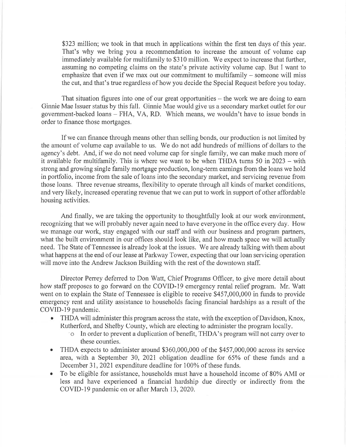\$323 million; we took in that much in applications within the first ten days of this year. That's why we bring you a recommendation to increase the amount of volume cap immediately available for multifamily to \$310 million. We expect to increase that further, assuming no competing claims on the state's private activity volume cap. But I want to emphasize that even if we max out our commitment to multifamily  $-$  someone will miss the cut, and that's true regardless of how you decide the Special Request before you today.

That situation figures into one of our great opportunities  $-$  the work we are doing to earn Ginnie Mae Issuer status by this fall. Ginnie Mae would give us a secondary market outlet for our government-backed loans - FHA, VA, RD. Which means, we wouldn't have to issue bonds in order to finance those mortgages,

If we can finance through means other than selling bonds, our production is not limited by the amount of volume cap available to us. We do not add hundreds of millions of dollars to the agency's debt. And, if we do not need volume cap for single family, we can make much more of it available for multifamily. This is where we want to be when THDA turns 50 in 2023 – with strong and growing single family mortgage production, long-term earnings from the loans we hold in portfolio, income from the sale of loans into the secondary market, and servicing revenue from those loans. Three revenue streams, flexibility to operate through all kinds of market conditions, and very likely, increased operating revenue that we can put to work in support of other affordable housing activities.

And finally, we are taking the opportunity to thoughtfully look at our work environment, recognizing that we will probably never again need to have everyone in the office every day. How we manage our work, stay engaged with our staff and with our business and program partners, what the built environment in our offices should look like, and how much space we will actually need. The State of Tennessee is already look at the issues. We are already talking with them about what happens at the end of our lease at Parkway Tower, expecting that our loan servicing operation will move into the Andrew Jackson Building with the rest of the downtown staff.

Director Perrey defened to Don Watt, Chief Programs Officer, to give more detail about how staff proposes to go forward on the COVID-19 emergency rental relief program. Mr. Watt went on to explain the State of Tennessee is eligible to receive \$457,000,000 in funds to provide emergency rent and utility assistance to households facing financial hardships as a result of the COVID-i9 pandemic.

- o THDA will administer this program across the state, with the exception of Davidson, Knox, Rutherford, and Shelby County, which are electing to administer the program locally.<br>  $\circ$  In order to prevent a duplication of benefit, THDA's program will not carry over to
	- these counties.
- THDA expects to administer around \$360,000,000 of the \$457,000,000 across its service area, with a September 30, 2021 obligation deadline for 65% of these funds and <sup>a</sup> December 31, 2021 expenditure deadline for 100% of these funds.
- To be eligible for assistance, households must have a household income of 80% AMI or less and have experienced a financial hardship due directly or indirectly from the COVID-19 pandemic on or after March 13,2020.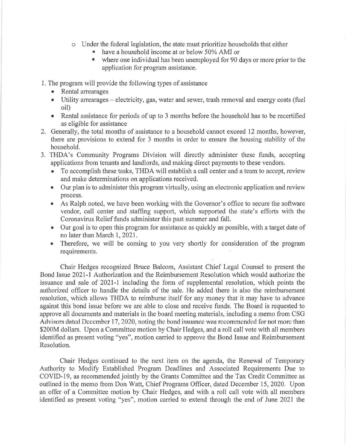- o Under the federal legislation, the state must prioritize households that either
	- have a household income at or below 50% AMI or
	- where one individual has been unemployed for 90 days or more prior to the application for program assistance.

1. The program will provide the following types of assistance

- Rental arrearages
- Utility arrearages electricity, gas, water and sewer, trash removal and energy costs (fuel oil)
- Rental assistance for periods of up to 3 months before the household has to be recertified as eligible for assistance
- 2. Generally, the total months of assistance to a household cannot exceed 12 months, however, there are provisions to extend for 3 months in order to ensure the housing stability of the household.
- 3. THDA's Community Programs Division will directly administer these funds, accepting applications from tenants and landlords, and making direct payments to these vendors.
	- o To accomplish these tasks, THDA will establish a call center and a team to accept, review and make determinations on applications received.
	- Our plan is to administer this program virtually, using an electronic application and review process.
	- As Ralph noted, we have been working with the Governor's office to secure the software vendor, call center and staffrng support, which supported the state's efforts with the Coronavirus Relief funds administer this past summer and fall.
	- . Our goal is to open this program for assistance as quickly as possible, with atarget date of no later than March 1,2021.
	- Therefore, we will be coming to you very shortly for consideration of the program requirements.

Chair Hedges recognized Bruce Balcom, Assistant Chief Legal Counsel to present the Bond Issue 202I-l Authorization and the Reimbursement Resolution which would authorize the issuance and sale of 2021-l including the form of supplemental resolution, which points the authorized officer to handle the details of the sale. He added there is also the reimbursement resolution, which allows THDA to reimburse itself for any money that it may have to advance against this bond issue before we are able to close and receive funds. The Board is requested to approve all documents and materials in the board meeting materials, including a memo from CSG Advisors dated December 17, 2020, noting the bond issuance was recommended for not more than \$200M dollars. Upon a Committee motion by Chair Hedges, and a roll call vote with all members identified as present voting "yes", motion carried to approve the Bond Issue and Reimbursement Resolution.

Chair Hedges continued to the next item on the agenda, the Renewal of Temporary Authority to Modify Established Program Deadlines and Associated Requirements Due to COVID-l9, as recommended jointly by the Grants Committee and the Tax Credit Committee as outlined in the memo from Don Watt, Chief Programs Officer, dated December 15,2020. Upon an offer of a Committee motion by Chair Hedges, and with a roll call vote with all members identified as present voting "yes", motion carried to extend through the end of June 2021 the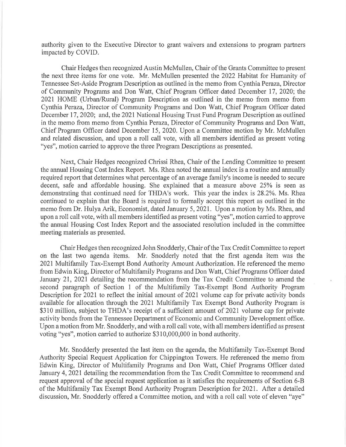authority given to the Executive Director to grant waivers and extensions to program partners impacted by COVID.

Chair Hedges then recognized Austin McMullen, Chair of the Grants Committee to present the next three items for one vote. Mr. McMullen presented the 2022 Habitat for Humanity of Tennessee Set-Aside Program Description as outlined in the memo from Cynthia Peraza, Director of Community Programs and Don Watt, Chief Program Officer dated December 17, 2020; the 2021 HOME (Urban/Rural) Program Description as outlined in the memo from memo from Cynthia Peraza, Director of Community Programs and Don Watt, Chief Program Officer dated December 17,2020; and, the 2021 National Housing Trust Fund Program Description as outlined in the memo from memo from Cynthia Peraza, Director of Community Programs and Don Watt, Chief Program Officer dated December 15,2020. Upon a Committee motion by Mr. McMullen and related discussion, and upon a roll call vote, with all members identified as present voting "yes", motion carried to approve the three Program Descriptions as presented.

Next, Chair Hedges recognized Chrissi Rhea, Chair of the Lending Committee to present the annual Housing Cost Index Report. Ms. Rhea noted the annual index is a routine and annually required report that determines what percentage of an average family's income is needed to secure decent, safe and affordable housing. She explained that a measure above 25% is seen as demonstrating that continued need for THDA's work. This year the index is 28.2%. Ms. Rhea continued to explain that the Board is required to formally accept this report as outlined in the memo from Dr. Hulya Arik, Economist, dated January 5,2021. Upon a motion by Ms. Rhea, and upon a roll call vote, with all members identified as present voting "yes", motion carried to approve the annual Housing Cost Index Report and the associated resolution included in the committee meeting materials as presented.

Chair Hedges then recognized John Snodderly, Chair of the Tax Credit Committee to report on the last two agenda items. Mr. Snodderly noted that the first agenda item was the 2021 Multifamily Tax-Exempt Bond Authority Amount Authorization. He referenced the memo from Edwin King, Director of Multifamily Programs and Don Watt, Chief Programs Officer dated January 21,2021 detailing the recommendation from the Tax Credit Committee to amend the second paragraph of Section 1 of the Multifamily Tax-Exempt Bond Authority Program Description for 202I to reflect the initial amount of 202I volume cap for private activity bonds available for allocation through the 2021 Multifamily Tax Exempt Bond Authority Program is \$310 million, subject to THDA's receipt of a sufficient amount of 2021 volume cap for private activity bonds from the Tennessee Department of Economic and Community Development office. Upon a motion from Mr. Snodderly, and with a roll call vote, with all members identified as present voting "yes", motion carried to authorize  $$310,000,000$  in bond authority.

Mr. Snodderly presented the last item on the agenda, the Multifamily Tax-Exempt Bond Authority Special Request Application for Chippington Towers. He referenced the memo from Edwin King, Director of Multifamily Programs and Don Watt, Chief Programs Officer dated January 4, 2021 detailing the recommendation from the Tax Credit Committee to recommend and request approval of the special request application as it satisfies the requirements of Section 6-8 of the Multifamily Tax Exempt Bond Authority Program Description for 2021. After a detailed discussion, Mr. Snodderly offered a Committee motion, and with a roll call vote of eleven "aye"